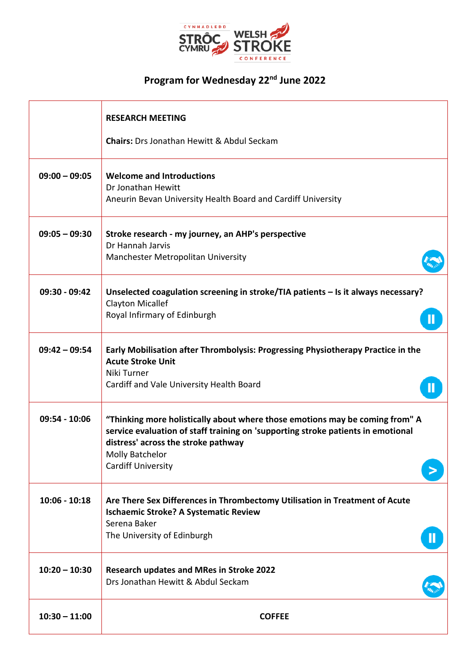

## **Program for Wednesday 22nd June 2022**

|                 | <b>RESEARCH MEETING</b><br><b>Chairs:</b> Drs Jonathan Hewitt & Abdul Seckam                                                                                                                                                                                   |
|-----------------|----------------------------------------------------------------------------------------------------------------------------------------------------------------------------------------------------------------------------------------------------------------|
| $09:00 - 09:05$ | <b>Welcome and Introductions</b><br>Dr Jonathan Hewitt<br>Aneurin Bevan University Health Board and Cardiff University                                                                                                                                         |
| $09:05 - 09:30$ | Stroke research - my journey, an AHP's perspective<br>Dr Hannah Jarvis<br>Manchester Metropolitan University                                                                                                                                                   |
| 09:30 - 09:42   | Unselected coagulation screening in stroke/TIA patients - Is it always necessary?<br><b>Clayton Micallef</b><br>Royal Infirmary of Edinburgh                                                                                                                   |
| $09:42 - 09:54$ | Early Mobilisation after Thrombolysis: Progressing Physiotherapy Practice in the<br><b>Acute Stroke Unit</b><br>Niki Turner<br>Cardiff and Vale University Health Board                                                                                        |
| 09:54 - 10:06   | "Thinking more holistically about where those emotions may be coming from" A<br>service evaluation of staff training on 'supporting stroke patients in emotional<br>distress' across the stroke pathway<br><b>Molly Batchelor</b><br><b>Cardiff University</b> |
| $10:06 - 10:18$ | Are There Sex Differences in Thrombectomy Utilisation in Treatment of Acute<br><b>Ischaemic Stroke? A Systematic Review</b><br>Serena Baker<br>The University of Edinburgh                                                                                     |
| $10:20 - 10:30$ | <b>Research updates and MRes in Stroke 2022</b><br>Drs Jonathan Hewitt & Abdul Seckam                                                                                                                                                                          |
| $10:30 - 11:00$ | <b>COFFEE</b>                                                                                                                                                                                                                                                  |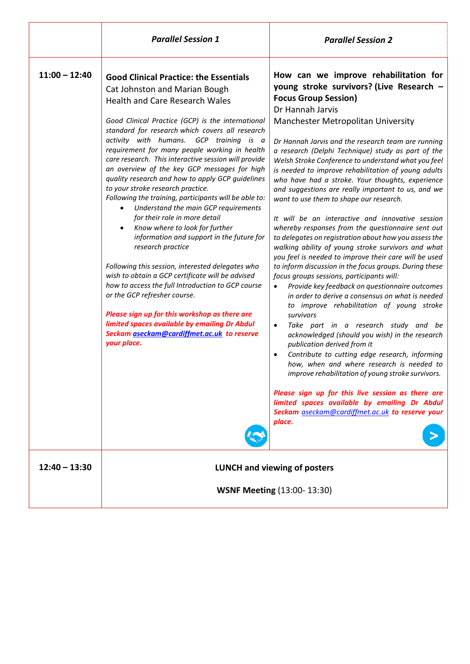|                 | <b>Parallel Session 1</b>                                                                                                                                                                                                                                                                                                                                                                                                                                                                                                                                                                                                                                                                                                                                                                                                                                                                                                                                                                                                                                                                                                      | <b>Parallel Session 2</b>                                                                                                                                                                                                                                                                                                                                                                                                                                                                                                                                                                                                                                                                                                                                                                                                                                                                                                                                                                                                                                                                                                                                                                                                                                                                                                                                                                                                                                                                                                                                                                   |
|-----------------|--------------------------------------------------------------------------------------------------------------------------------------------------------------------------------------------------------------------------------------------------------------------------------------------------------------------------------------------------------------------------------------------------------------------------------------------------------------------------------------------------------------------------------------------------------------------------------------------------------------------------------------------------------------------------------------------------------------------------------------------------------------------------------------------------------------------------------------------------------------------------------------------------------------------------------------------------------------------------------------------------------------------------------------------------------------------------------------------------------------------------------|---------------------------------------------------------------------------------------------------------------------------------------------------------------------------------------------------------------------------------------------------------------------------------------------------------------------------------------------------------------------------------------------------------------------------------------------------------------------------------------------------------------------------------------------------------------------------------------------------------------------------------------------------------------------------------------------------------------------------------------------------------------------------------------------------------------------------------------------------------------------------------------------------------------------------------------------------------------------------------------------------------------------------------------------------------------------------------------------------------------------------------------------------------------------------------------------------------------------------------------------------------------------------------------------------------------------------------------------------------------------------------------------------------------------------------------------------------------------------------------------------------------------------------------------------------------------------------------------|
| $11:00 - 12:40$ | <b>Good Clinical Practice: the Essentials</b><br>Cat Johnston and Marian Bough<br><b>Health and Care Research Wales</b><br>Good Clinical Practice (GCP) is the international<br>standard for research which covers all research<br>activity with humans. GCP training is a<br>requirement for many people working in health<br>care research. This interactive session will provide<br>an overview of the key GCP messages for high<br>quality research and how to apply GCP guidelines<br>to your stroke research practice.<br>Following the training, participants will be able to:<br>Understand the main GCP requirements<br>for their role in more detail<br>Know where to look for further<br>information and support in the future for<br>research practice<br>Following this session, interested delegates who<br>wish to obtain a GCP certificate will be advised<br>how to access the full Introduction to GCP course<br>or the GCP refresher course.<br>Please sign up for this workshop as there are<br>limited spaces available by emailing Dr Abdul<br>Seckam aseckam@cardiffmet.ac.uk to reserve<br>your place. | How can we improve rehabilitation for<br>young stroke survivors? (Live Research -<br><b>Focus Group Session)</b><br>Dr Hannah Jarvis<br>Manchester Metropolitan University<br>Dr Hannah Jarvis and the research team are running<br>a research (Delphi Technique) study as part of the<br>Welsh Stroke Conference to understand what you feel<br>is needed to improve rehabilitation of young adults<br>who have had a stroke. Your thoughts, experience<br>and suggestions are really important to us, and we<br>want to use them to shape our research.<br>It will be an interactive and innovative session<br>whereby responses from the questionnaire sent out<br>to delegates on registration about how you assess the<br>walking ability of young stroke survivors and what<br>you feel is needed to improve their care will be used<br>to inform discussion in the focus groups. During these<br>focus groups sessions, participants will:<br>Provide key feedback on questionnaire outcomes<br>$\bullet$<br>in order to derive a consensus on what is needed<br>to improve rehabilitation of young stroke<br>survivors<br>Take part in a research study and be<br>$\bullet$<br>acknowledged (should you wish) in the research<br>publication derived from it<br>Contribute to cutting edge research, informing<br>how, when and where research is needed to<br>improve rehabilitation of young stroke survivors.<br>Please sign up for this live session as there are<br>limited spaces available by emailing Dr Abdul<br>Seckam aseckam@cardiffmet.ac.uk to reserve your<br>place. |
| $12:40 - 13:30$ | <b>LUNCH and viewing of posters</b><br><b>WSNF Meeting (13:00-13:30)</b>                                                                                                                                                                                                                                                                                                                                                                                                                                                                                                                                                                                                                                                                                                                                                                                                                                                                                                                                                                                                                                                       |                                                                                                                                                                                                                                                                                                                                                                                                                                                                                                                                                                                                                                                                                                                                                                                                                                                                                                                                                                                                                                                                                                                                                                                                                                                                                                                                                                                                                                                                                                                                                                                             |